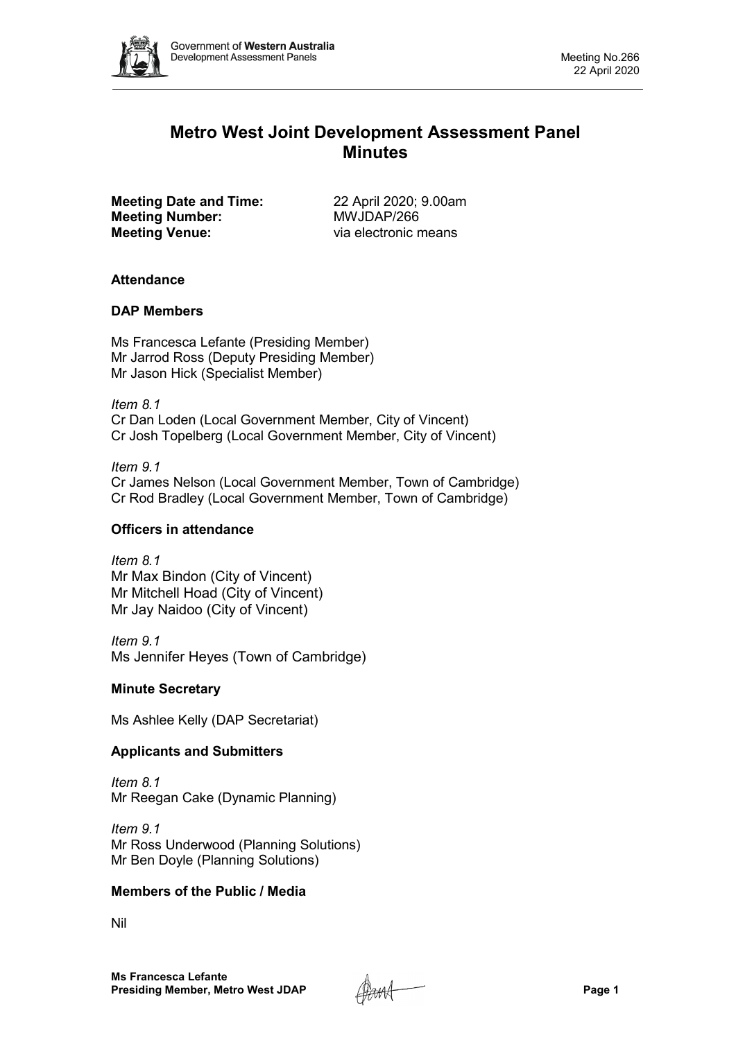

# **Metro West Joint Development Assessment Panel Minutes**

**Meeting Date and Time:** 22 April 2020; 9.00am<br> **Meeting Number:** MWJDAP/266 **Meeting Number: Meeting Venue:** via electronic means

# **Attendance**

# **DAP Members**

Ms Francesca Lefante (Presiding Member) Mr Jarrod Ross (Deputy Presiding Member) Mr Jason Hick (Specialist Member)

*Item 8.1* Cr Dan Loden (Local Government Member, City of Vincent) Cr Josh Topelberg (Local Government Member, City of Vincent)

*Item 9.1* Cr James Nelson (Local Government Member, Town of Cambridge) Cr Rod Bradley (Local Government Member, Town of Cambridge)

# **Officers in attendance**

*Item 8.1* Mr Max Bindon (City of Vincent) Mr Mitchell Hoad (City of Vincent) Mr Jay Naidoo (City of Vincent)

*Item 9.1* Ms Jennifer Heyes (Town of Cambridge)

# **Minute Secretary**

Ms Ashlee Kelly (DAP Secretariat)

# **Applicants and Submitters**

*Item 8.1* Mr Reegan Cake (Dynamic Planning)

*Item 9.1* Mr Ross Underwood (Planning Solutions) Mr Ben Doyle (Planning Solutions)

# **Members of the Public / Media**

Nil

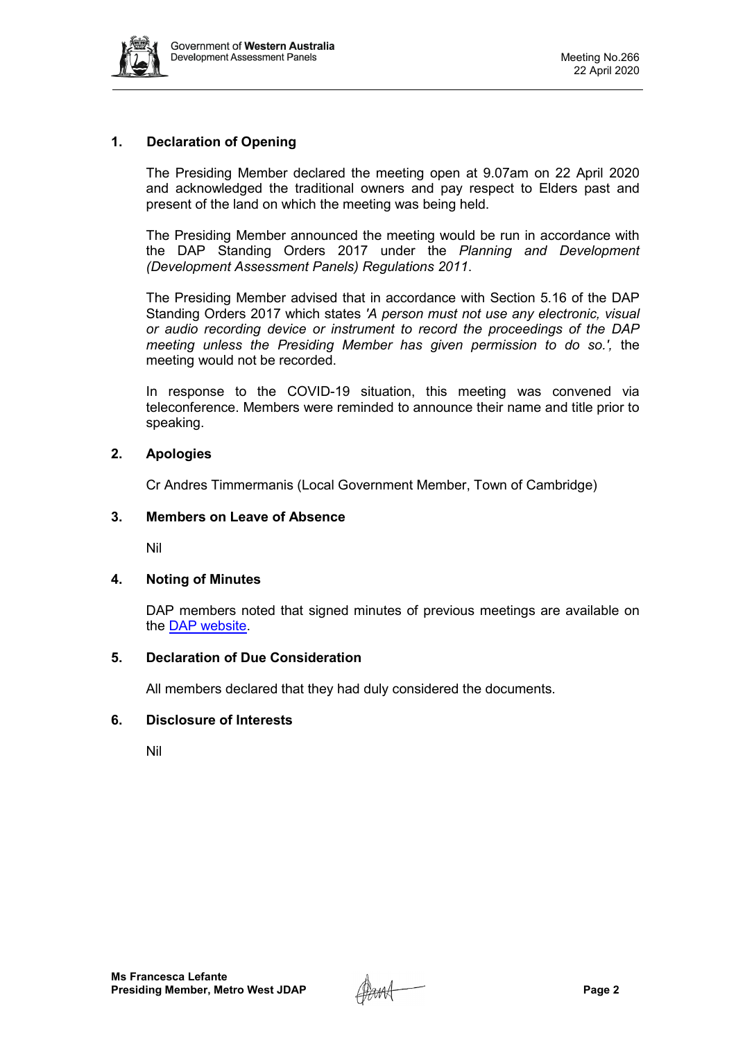

# **1. Declaration of Opening**

The Presiding Member declared the meeting open at 9.07am on 22 April 2020 and acknowledged the traditional owners and pay respect to Elders past and present of the land on which the meeting was being held.

The Presiding Member announced the meeting would be run in accordance with the DAP Standing Orders 2017 under the *Planning and Development (Development Assessment Panels) Regulations 2011*.

The Presiding Member advised that in accordance with Section 5.16 of the DAP Standing Orders 2017 which states *'A person must not use any electronic, visual or audio recording device or instrument to record the proceedings of the DAP meeting unless the Presiding Member has given permission to do so.',* the meeting would not be recorded.

In response to the COVID-19 situation, this meeting was convened via teleconference. Members were reminded to announce their name and title prior to speaking.

# **2. Apologies**

Cr Andres Timmermanis (Local Government Member, Town of Cambridge)

## **3. Members on Leave of Absence**

Nil

## **4. Noting of Minutes**

DAP members noted that signed minutes of previous meetings are available on the [DAP website.](https://www.dplh.wa.gov.au/about/development-assessment-panels/daps-agendas-and-minutes)

## **5. Declaration of Due Consideration**

All members declared that they had duly considered the documents.

## **6. Disclosure of Interests**

Nil

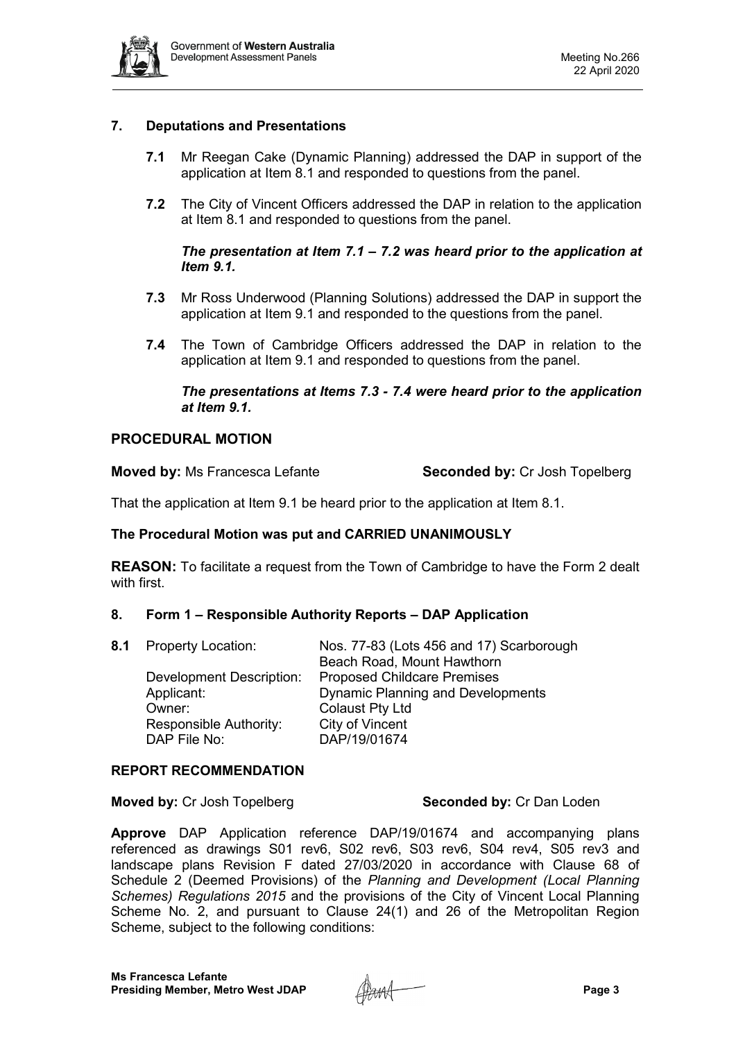

# **7. Deputations and Presentations**

- **7.1** Mr Reegan Cake (Dynamic Planning) addressed the DAP in support of the application at Item 8.1 and responded to questions from the panel.
- **7.2** The City of Vincent Officers addressed the DAP in relation to the application at Item 8.1 and responded to questions from the panel.

# *The presentation at Item 7.1 – 7.2 was heard prior to the application at Item 9.1.*

- **7.3** Mr Ross Underwood (Planning Solutions) addressed the DAP in support the application at Item 9.1 and responded to the questions from the panel.
- **7.4** The Town of Cambridge Officers addressed the DAP in relation to the application at Item 9.1 and responded to questions from the panel.

## *The presentations at Items 7.3 - 7.4 were heard prior to the application at Item 9.1.*

## **PROCEDURAL MOTION**

**Moved by:** Ms Francesca Lefante **Seconded by:** Cr Josh Topelberg

That the application at Item 9.1 be heard prior to the application at Item 8.1.

# **The Procedural Motion was put and CARRIED UNANIMOUSLY**

**REASON:** To facilitate a request from the Town of Cambridge to have the Form 2 dealt with first.

## **8. Form 1 – Responsible Authority Reports – DAP Application**

| 8.1 Property Location:          | Nos. 77-83 (Lots 456 and 17) Scarborough |
|---------------------------------|------------------------------------------|
|                                 | Beach Road, Mount Hawthorn               |
| <b>Development Description:</b> | <b>Proposed Childcare Premises</b>       |
| Applicant:                      | <b>Dynamic Planning and Developments</b> |
| Owner:                          | <b>Colaust Pty Ltd</b>                   |
| Responsible Authority:          | City of Vincent                          |
| DAP File No:                    | DAP/19/01674                             |
|                                 |                                          |

## **REPORT RECOMMENDATION**

**Moved by:** Cr Josh Topelberg **Seconded by:** Cr Dan Loden

**Approve** DAP Application reference DAP/19/01674 and accompanying plans referenced as drawings S01 rev6, S02 rev6, S03 rev6, S04 rev4, S05 rev3 and landscape plans Revision F dated 27/03/2020 in accordance with Clause 68 of Schedule 2 (Deemed Provisions) of the *Planning and Development (Local Planning Schemes) Regulations 2015* and the provisions of the City of Vincent Local Planning Scheme No. 2, and pursuant to Clause 24(1) and 26 of the Metropolitan Region Scheme, subject to the following conditions:

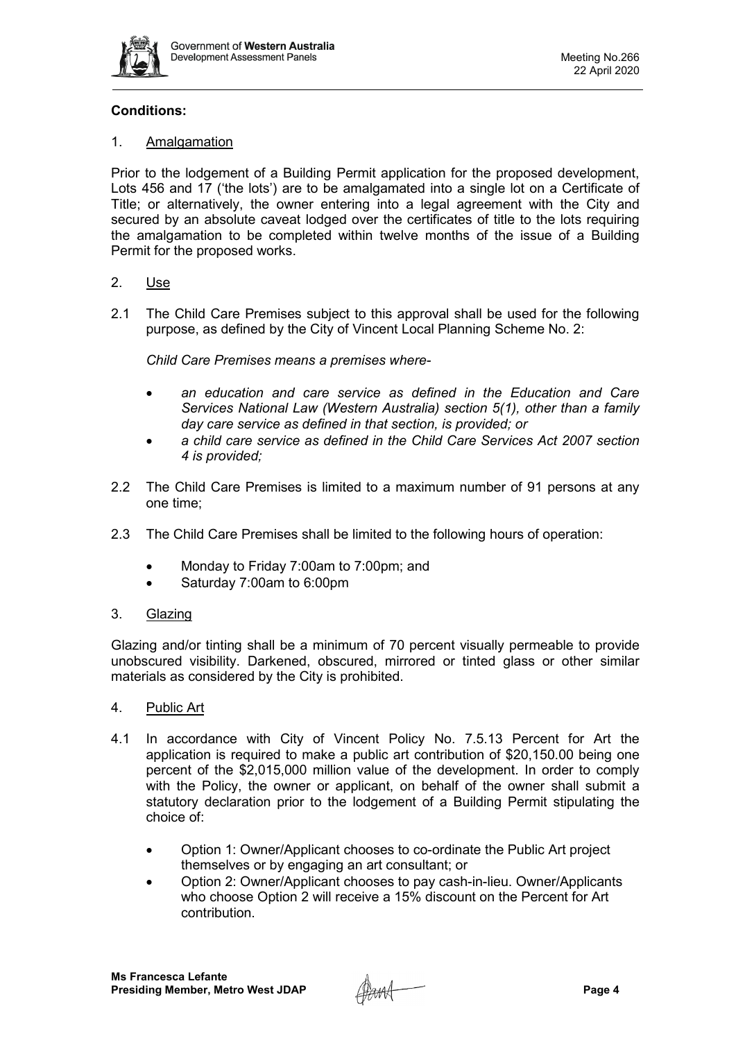

# **Conditions:**

## 1. Amalgamation

Prior to the lodgement of a Building Permit application for the proposed development, Lots 456 and 17 ('the lots') are to be amalgamated into a single lot on a Certificate of Title; or alternatively, the owner entering into a legal agreement with the City and secured by an absolute caveat lodged over the certificates of title to the lots requiring the amalgamation to be completed within twelve months of the issue of a Building Permit for the proposed works.

# 2. Use

2.1 The Child Care Premises subject to this approval shall be used for the following purpose, as defined by the City of Vincent Local Planning Scheme No. 2:

*Child Care Premises means a premises where-*

- *an education and care service as defined in the Education and Care Services National Law (Western Australia) section 5(1), other than a family day care service as defined in that section, is provided; or*
- *a child care service as defined in the Child Care Services Act 2007 section 4 is provided;*
- 2.2 The Child Care Premises is limited to a maximum number of 91 persons at any one time;
- 2.3 The Child Care Premises shall be limited to the following hours of operation:
	- Monday to Friday 7:00am to 7:00pm; and
	- Saturday 7:00am to 6:00pm
- 3. Glazing

Glazing and/or tinting shall be a minimum of 70 percent visually permeable to provide unobscured visibility. Darkened, obscured, mirrored or tinted glass or other similar materials as considered by the City is prohibited.

## 4. Public Art

- 4.1 In accordance with City of Vincent Policy No. 7.5.13 Percent for Art the application is required to make a public art contribution of \$20,150.00 being one percent of the \$2,015,000 million value of the development. In order to comply with the Policy, the owner or applicant, on behalf of the owner shall submit a statutory declaration prior to the lodgement of a Building Permit stipulating the choice of:
	- Option 1: Owner/Applicant chooses to co-ordinate the Public Art project themselves or by engaging an art consultant; or
	- Option 2: Owner/Applicant chooses to pay cash-in-lieu. Owner/Applicants who choose Option 2 will receive a 15% discount on the Percent for Art contribution.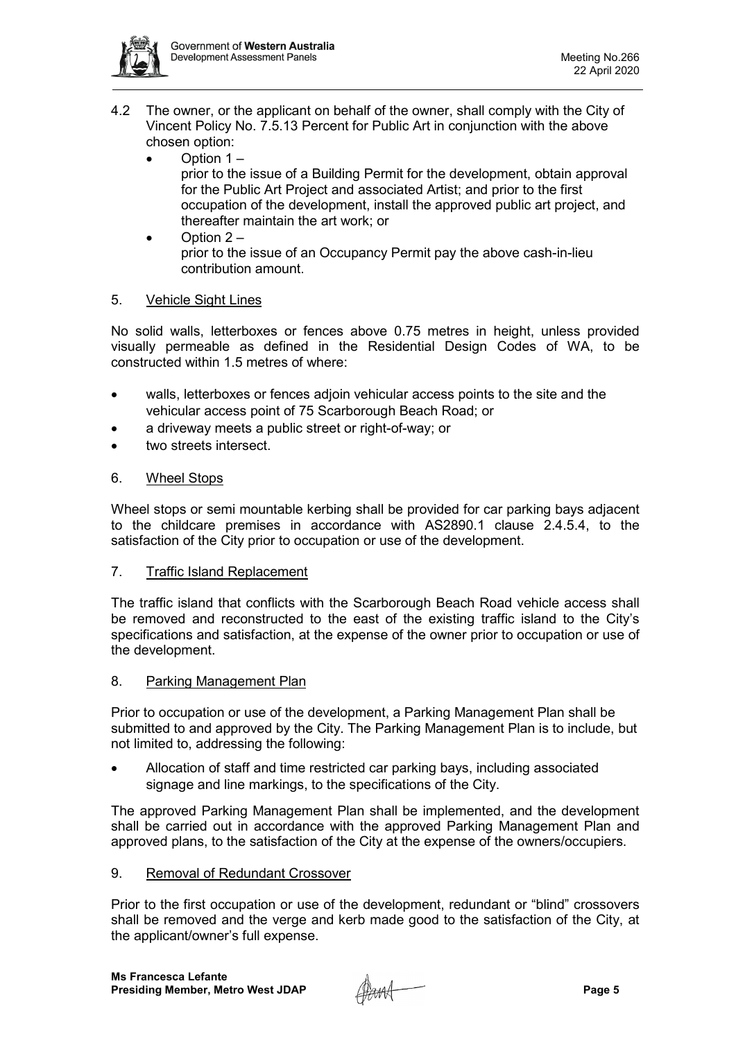

- 4.2 The owner, or the applicant on behalf of the owner, shall comply with the City of Vincent Policy No. 7.5.13 Percent for Public Art in conjunction with the above chosen option:
	- Option 1 –

prior to the issue of a Building Permit for the development, obtain approval for the Public Art Project and associated Artist; and prior to the first occupation of the development, install the approved public art project, and thereafter maintain the art work; or

• Option 2 – prior to the issue of an Occupancy Permit pay the above cash-in-lieu contribution amount.

# 5. Vehicle Sight Lines

No solid walls, letterboxes or fences above 0.75 metres in height, unless provided visually permeable as defined in the Residential Design Codes of WA, to be constructed within 1.5 metres of where:

- walls, letterboxes or fences adjoin vehicular access points to the site and the vehicular access point of 75 Scarborough Beach Road; or
- a driveway meets a public street or right-of-way; or
- two streets intersect.

# 6. Wheel Stops

Wheel stops or semi mountable kerbing shall be provided for car parking bays adjacent to the childcare premises in accordance with AS2890.1 clause 2.4.5.4, to the satisfaction of the City prior to occupation or use of the development.

# 7. Traffic Island Replacement

The traffic island that conflicts with the Scarborough Beach Road vehicle access shall be removed and reconstructed to the east of the existing traffic island to the City's specifications and satisfaction, at the expense of the owner prior to occupation or use of the development.

# 8. Parking Management Plan

Prior to occupation or use of the development, a Parking Management Plan shall be submitted to and approved by the City. The Parking Management Plan is to include, but not limited to, addressing the following:

• Allocation of staff and time restricted car parking bays, including associated signage and line markings, to the specifications of the City.

The approved Parking Management Plan shall be implemented, and the development shall be carried out in accordance with the approved Parking Management Plan and approved plans, to the satisfaction of the City at the expense of the owners/occupiers.

# 9. Removal of Redundant Crossover

Prior to the first occupation or use of the development, redundant or "blind" crossovers shall be removed and the verge and kerb made good to the satisfaction of the City, at the applicant/owner's full expense.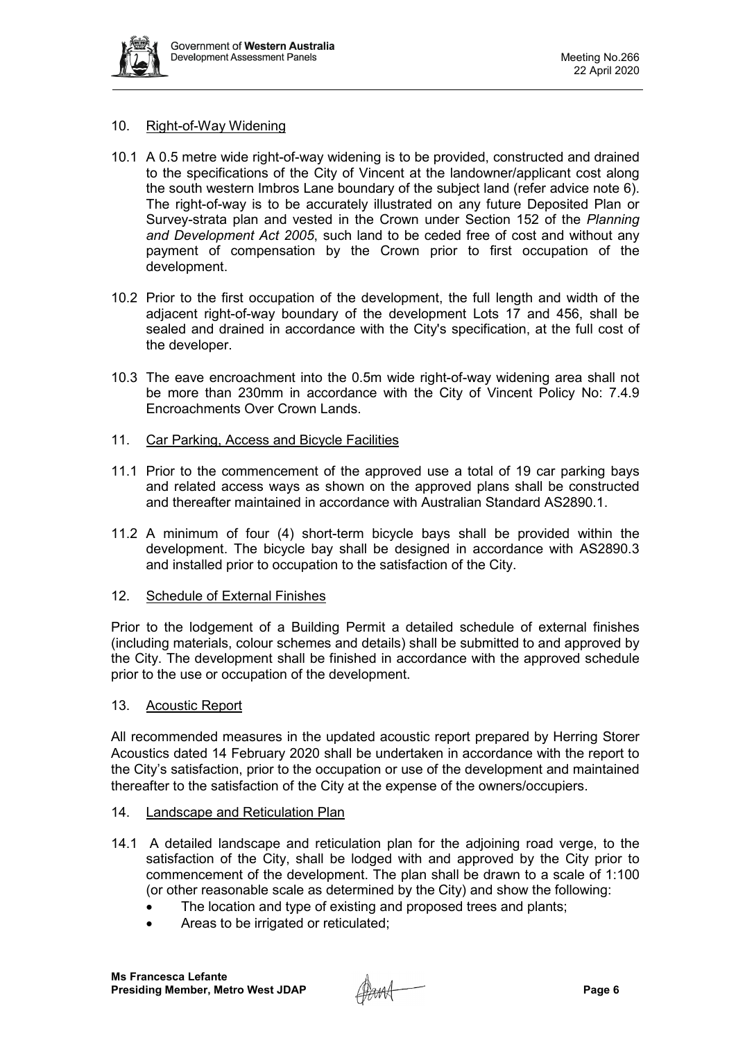

## 10. Right-of-Way Widening

- 10.1 A 0.5 metre wide right-of-way widening is to be provided, constructed and drained to the specifications of the City of Vincent at the landowner/applicant cost along the south western Imbros Lane boundary of the subject land (refer advice note 6). The right-of-way is to be accurately illustrated on any future Deposited Plan or Survey-strata plan and vested in the Crown under Section 152 of the *Planning and Development Act 2005*, such land to be ceded free of cost and without any payment of compensation by the Crown prior to first occupation of the development.
- 10.2 Prior to the first occupation of the development, the full length and width of the adjacent right-of-way boundary of the development Lots 17 and 456, shall be sealed and drained in accordance with the City's specification, at the full cost of the developer.
- 10.3 The eave encroachment into the 0.5m wide right-of-way widening area shall not be more than 230mm in accordance with the City of Vincent Policy No: 7.4.9 Encroachments Over Crown Lands.
- 11. Car Parking, Access and Bicycle Facilities
- 11.1 Prior to the commencement of the approved use a total of 19 car parking bays and related access ways as shown on the approved plans shall be constructed and thereafter maintained in accordance with Australian Standard AS2890.1.
- 11.2 A minimum of four (4) short-term bicycle bays shall be provided within the development. The bicycle bay shall be designed in accordance with AS2890.3 and installed prior to occupation to the satisfaction of the City.

## 12. Schedule of External Finishes

Prior to the lodgement of a Building Permit a detailed schedule of external finishes (including materials, colour schemes and details) shall be submitted to and approved by the City. The development shall be finished in accordance with the approved schedule prior to the use or occupation of the development.

## 13. Acoustic Report

All recommended measures in the updated acoustic report prepared by Herring Storer Acoustics dated 14 February 2020 shall be undertaken in accordance with the report to the City's satisfaction, prior to the occupation or use of the development and maintained thereafter to the satisfaction of the City at the expense of the owners/occupiers.

## 14. Landscape and Reticulation Plan

- 14.1 A detailed landscape and reticulation plan for the adjoining road verge, to the satisfaction of the City, shall be lodged with and approved by the City prior to commencement of the development. The plan shall be drawn to a scale of 1:100 (or other reasonable scale as determined by the City) and show the following:
	- The location and type of existing and proposed trees and plants;
	- Areas to be irrigated or reticulated;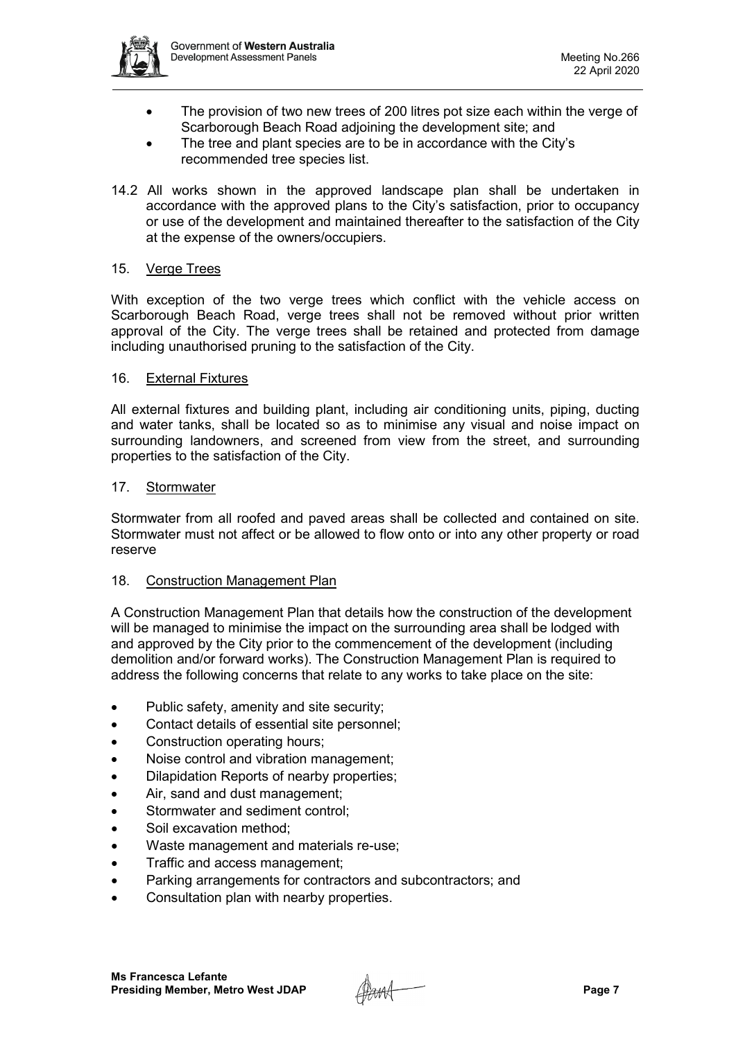

- The provision of two new trees of 200 litres pot size each within the verge of Scarborough Beach Road adjoining the development site; and
- The tree and plant species are to be in accordance with the City's recommended tree species list.
- 14.2 All works shown in the approved landscape plan shall be undertaken in accordance with the approved plans to the City's satisfaction, prior to occupancy or use of the development and maintained thereafter to the satisfaction of the City at the expense of the owners/occupiers.

## 15. Verge Trees

With exception of the two verge trees which conflict with the vehicle access on Scarborough Beach Road, verge trees shall not be removed without prior written approval of the City. The verge trees shall be retained and protected from damage including unauthorised pruning to the satisfaction of the City.

## 16. External Fixtures

All external fixtures and building plant, including air conditioning units, piping, ducting and water tanks, shall be located so as to minimise any visual and noise impact on surrounding landowners, and screened from view from the street, and surrounding properties to the satisfaction of the City.

## 17. Stormwater

Stormwater from all roofed and paved areas shall be collected and contained on site. Stormwater must not affect or be allowed to flow onto or into any other property or road reserve

## 18. Construction Management Plan

A Construction Management Plan that details how the construction of the development will be managed to minimise the impact on the surrounding area shall be lodged with and approved by the City prior to the commencement of the development (including demolition and/or forward works). The Construction Management Plan is required to address the following concerns that relate to any works to take place on the site:

- Public safety, amenity and site security;
- Contact details of essential site personnel;
- Construction operating hours;
- Noise control and vibration management;
- Dilapidation Reports of nearby properties;
- Air, sand and dust management;
- Stormwater and sediment control;
- Soil excavation method:
- Waste management and materials re-use;
- Traffic and access management;
- Parking arrangements for contractors and subcontractors; and
- Consultation plan with nearby properties.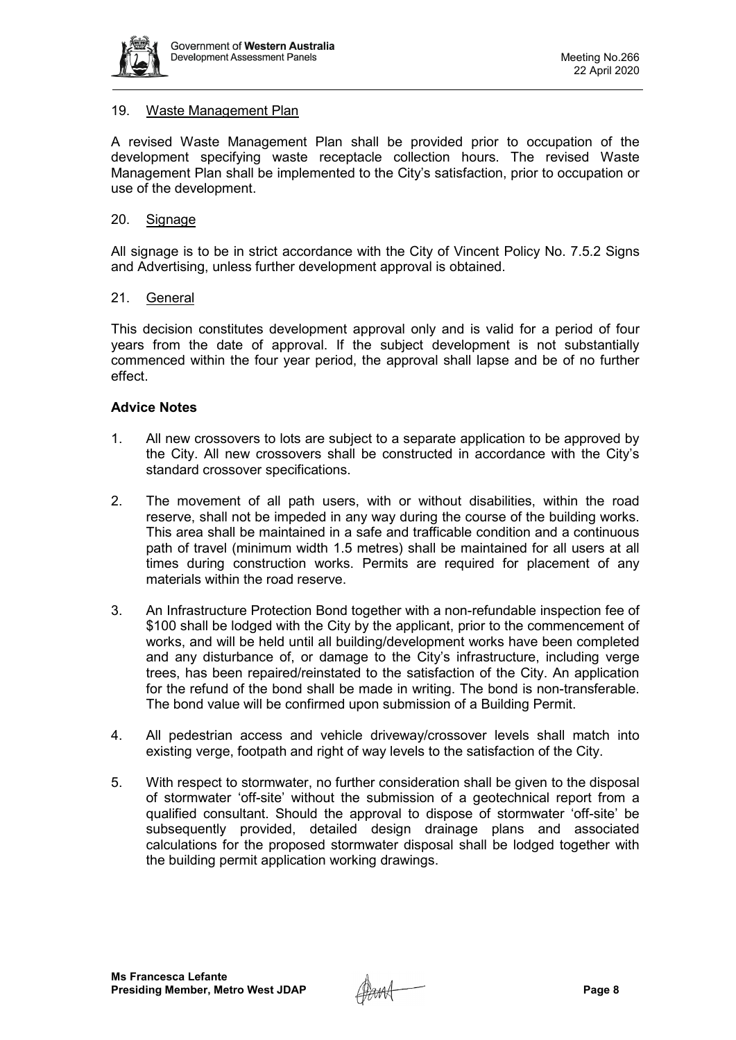

## 19. Waste Management Plan

A revised Waste Management Plan shall be provided prior to occupation of the development specifying waste receptacle collection hours. The revised Waste Management Plan shall be implemented to the City's satisfaction, prior to occupation or use of the development.

## 20. Signage

All signage is to be in strict accordance with the City of Vincent Policy No. 7.5.2 Signs and Advertising, unless further development approval is obtained.

## 21. General

This decision constitutes development approval only and is valid for a period of four years from the date of approval. If the subject development is not substantially commenced within the four year period, the approval shall lapse and be of no further effect.

## **Advice Notes**

- 1. All new crossovers to lots are subject to a separate application to be approved by the City. All new crossovers shall be constructed in accordance with the City's standard crossover specifications.
- 2. The movement of all path users, with or without disabilities, within the road reserve, shall not be impeded in any way during the course of the building works. This area shall be maintained in a safe and trafficable condition and a continuous path of travel (minimum width 1.5 metres) shall be maintained for all users at all times during construction works. Permits are required for placement of any materials within the road reserve.
- 3. An Infrastructure Protection Bond together with a non-refundable inspection fee of \$100 shall be lodged with the City by the applicant, prior to the commencement of works, and will be held until all building/development works have been completed and any disturbance of, or damage to the City's infrastructure, including verge trees, has been repaired/reinstated to the satisfaction of the City. An application for the refund of the bond shall be made in writing. The bond is non-transferable. The bond value will be confirmed upon submission of a Building Permit.
- 4. All pedestrian access and vehicle driveway/crossover levels shall match into existing verge, footpath and right of way levels to the satisfaction of the City.
- 5. With respect to stormwater, no further consideration shall be given to the disposal of stormwater 'off-site' without the submission of a geotechnical report from a qualified consultant. Should the approval to dispose of stormwater 'off-site' be subsequently provided, detailed design drainage plans and associated calculations for the proposed stormwater disposal shall be lodged together with the building permit application working drawings.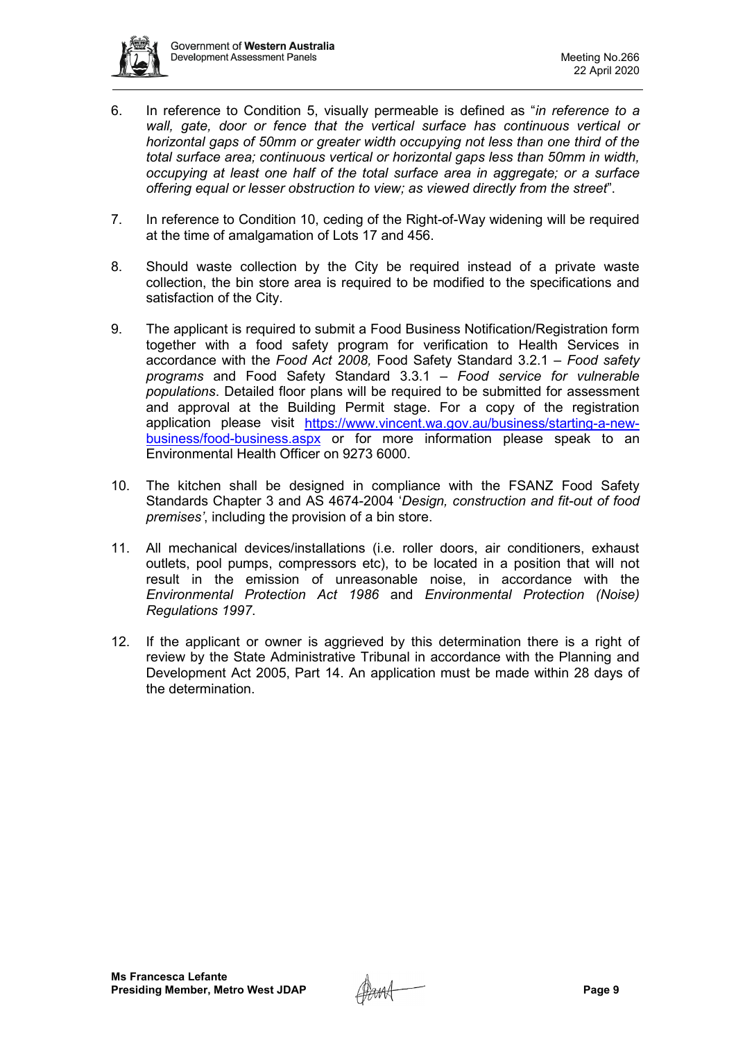

- 6. In reference to Condition 5, visually permeable is defined as "*in reference to a*  wall, gate, door or fence that the vertical surface has continuous vertical or *horizontal gaps of 50mm or greater width occupying not less than one third of the total surface area; continuous vertical or horizontal gaps less than 50mm in width, occupying at least one half of the total surface area in aggregate; or a surface offering equal or lesser obstruction to view; as viewed directly from the street*".
- 7. In reference to Condition 10, ceding of the Right-of-Way widening will be required at the time of amalgamation of Lots 17 and 456.
- 8. Should waste collection by the City be required instead of a private waste collection, the bin store area is required to be modified to the specifications and satisfaction of the City.
- 9. The applicant is required to submit a Food Business Notification/Registration form together with a food safety program for verification to Health Services in accordance with the *Food Act 2008,* Food Safety Standard 3.2.1 – *Food safety programs* and Food Safety Standard 3.3.1 – *Food service for vulnerable populations*. Detailed floor plans will be required to be submitted for assessment and approval at the Building Permit stage. For a copy of the registration application please visit [https://www.vincent.wa.gov.au/business/starting-a-new](https://www.vincent.wa.gov.au/business/starting-a-new-business/food-business.aspx)[business/food-business.aspx](https://www.vincent.wa.gov.au/business/starting-a-new-business/food-business.aspx) or for more information please speak to an Environmental Health Officer on 9273 6000.
- 10. The kitchen shall be designed in compliance with the FSANZ Food Safety Standards Chapter 3 and AS 4674-2004 '*Design, construction and fit-out of food premises'*, including the provision of a bin store.
- 11. All mechanical devices/installations (i.e. roller doors, air conditioners, exhaust outlets, pool pumps, compressors etc), to be located in a position that will not result in the emission of unreasonable noise, in accordance with the *Environmental Protection Act 1986* and *Environmental Protection (Noise) Regulations 1997*.
- 12. If the applicant or owner is aggrieved by this determination there is a right of review by the State Administrative Tribunal in accordance with the Planning and Development Act 2005, Part 14. An application must be made within 28 days of the determination.

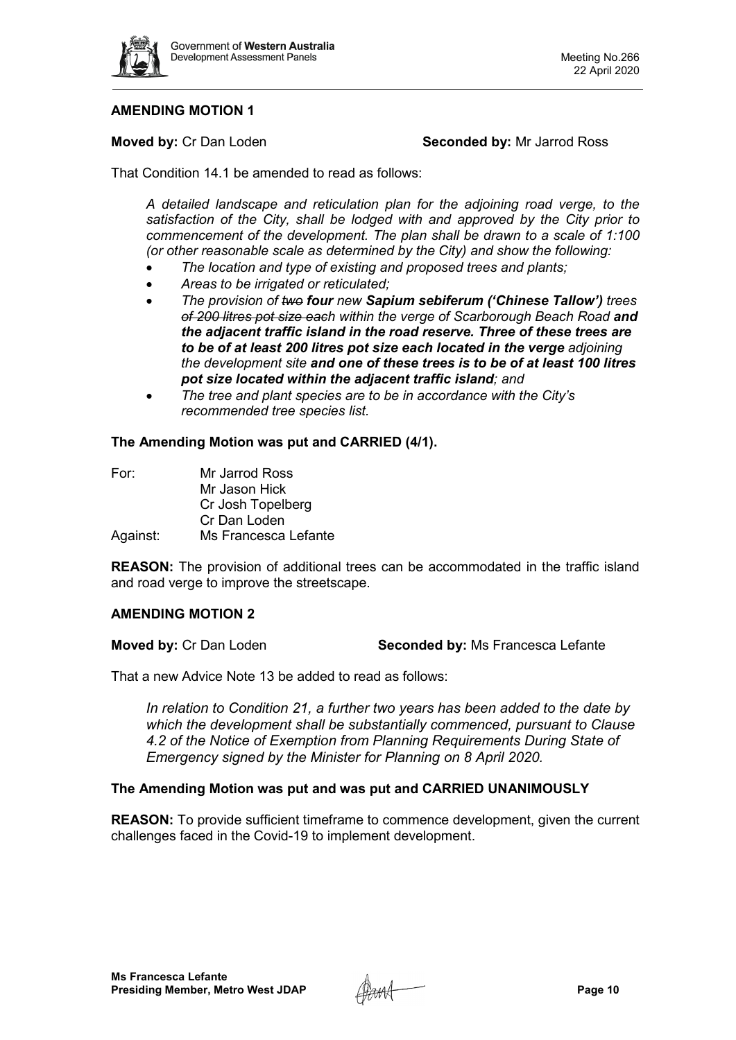

# **AMENDING MOTION 1**

**Moved by:** Cr Dan Loden **Seconded by:** Mr Jarrod Ross

That Condition 14.1 be amended to read as follows:

*A detailed landscape and reticulation plan for the adjoining road verge, to the satisfaction of the City, shall be lodged with and approved by the City prior to commencement of the development. The plan shall be drawn to a scale of 1:100 (or other reasonable scale as determined by the City) and show the following:*

- *The location and type of existing and proposed trees and plants;*
- *Areas to be irrigated or reticulated;*
- *The provision of two four new Sapium sebiferum ('Chinese Tallow') trees of 200 litres pot size each within the verge of Scarborough Beach Road and the adjacent traffic island in the road reserve. Three of these trees are to be of at least 200 litres pot size each located in the verge adjoining the development site and one of these trees is to be of at least 100 litres pot size located within the adjacent traffic island; and*
- *The tree and plant species are to be in accordance with the City's recommended tree species list.*

## **The Amending Motion was put and CARRIED (4/1).**

| For:     | Mr Jarrod Ross       |
|----------|----------------------|
|          | Mr Jason Hick        |
|          | Cr Josh Topelberg    |
|          | Cr Dan Loden         |
| Against: | Ms Francesca Lefante |

**REASON:** The provision of additional trees can be accommodated in the traffic island and road verge to improve the streetscape.

# **AMENDING MOTION 2**

**Moved by:** Cr Dan Loden **Seconded by:** Ms Francesca Lefante

That a new Advice Note 13 be added to read as follows:

*In relation to Condition 21, a further two years has been added to the date by which the development shall be substantially commenced, pursuant to Clause 4.2 of the Notice of Exemption from Planning Requirements During State of Emergency signed by the Minister for Planning on 8 April 2020.*

# **The Amending Motion was put and was put and CARRIED UNANIMOUSLY**

**REASON:** To provide sufficient timeframe to commence development, given the current challenges faced in the Covid-19 to implement development.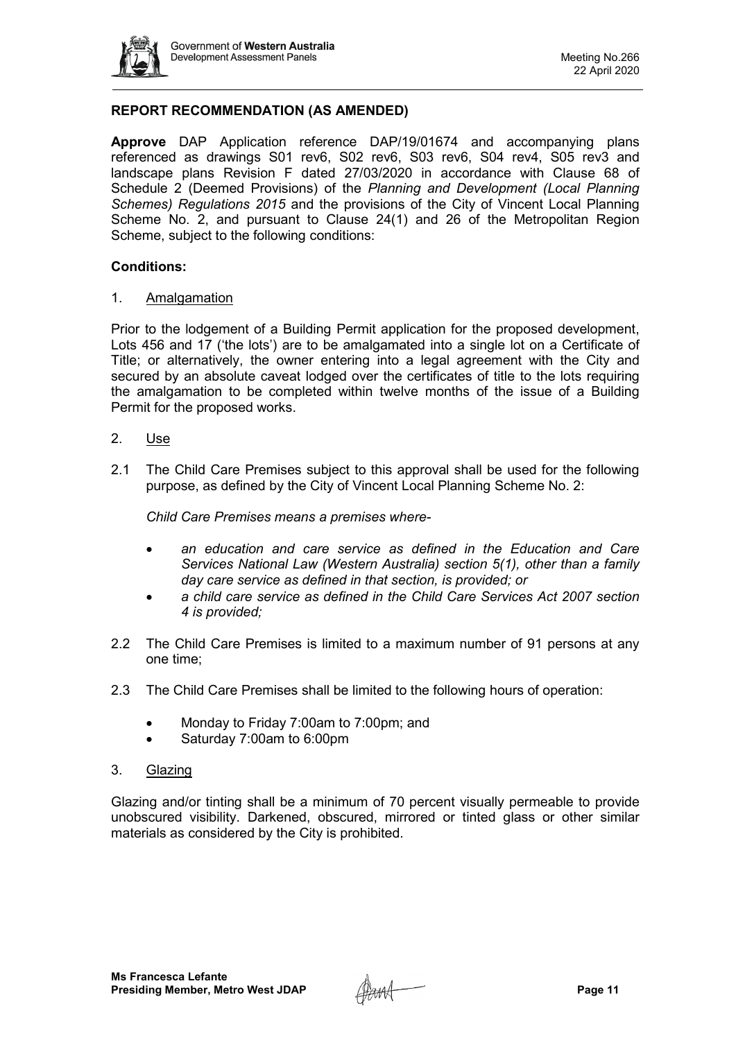

# **REPORT RECOMMENDATION (AS AMENDED)**

**Approve** DAP Application reference DAP/19/01674 and accompanying plans referenced as drawings S01 rev6, S02 rev6, S03 rev6, S04 rev4, S05 rev3 and landscape plans Revision F dated 27/03/2020 in accordance with Clause 68 of Schedule 2 (Deemed Provisions) of the *Planning and Development (Local Planning Schemes) Regulations 2015* and the provisions of the City of Vincent Local Planning Scheme No. 2, and pursuant to Clause 24(1) and 26 of the Metropolitan Region Scheme, subject to the following conditions:

## **Conditions:**

## 1. Amalgamation

Prior to the lodgement of a Building Permit application for the proposed development, Lots 456 and 17 ('the lots') are to be amalgamated into a single lot on a Certificate of Title; or alternatively, the owner entering into a legal agreement with the City and secured by an absolute caveat lodged over the certificates of title to the lots requiring the amalgamation to be completed within twelve months of the issue of a Building Permit for the proposed works.

- 2. Use
- 2.1 The Child Care Premises subject to this approval shall be used for the following purpose, as defined by the City of Vincent Local Planning Scheme No. 2:

*Child Care Premises means a premises where-*

- *an education and care service as defined in the Education and Care Services National Law (Western Australia) section 5(1), other than a family day care service as defined in that section, is provided; or*
- *a child care service as defined in the Child Care Services Act 2007 section 4 is provided;*
- 2.2 The Child Care Premises is limited to a maximum number of 91 persons at any one time;
- 2.3 The Child Care Premises shall be limited to the following hours of operation:
	- Monday to Friday 7:00am to 7:00pm; and
	- Saturday 7:00am to 6:00pm
- 3. Glazing

Glazing and/or tinting shall be a minimum of 70 percent visually permeable to provide unobscured visibility. Darkened, obscured, mirrored or tinted glass or other similar materials as considered by the City is prohibited.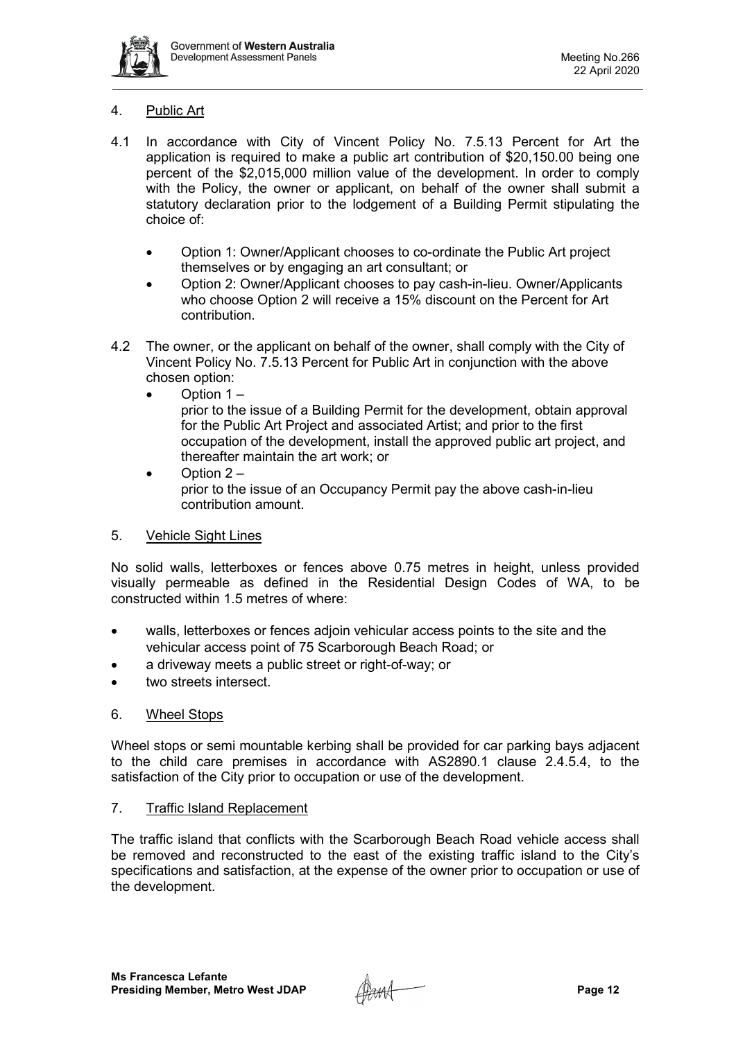

# 4. Public Art

- 4.1 In accordance with City of Vincent Policy No. 7.5.13 Percent for Art the application is required to make a public art contribution of \$20,150.00 being one percent of the \$2,015,000 million value of the development. In order to comply with the Policy, the owner or applicant, on behalf of the owner shall submit a statutory declaration prior to the lodgement of a Building Permit stipulating the choice of:
	- Option 1: Owner/Applicant chooses to co-ordinate the Public Art project themselves or by engaging an art consultant; or
	- Option 2: Owner/Applicant chooses to pay cash-in-lieu. Owner/Applicants who choose Option 2 will receive a 15% discount on the Percent for Art contribution.
- 4.2 The owner, or the applicant on behalf of the owner, shall comply with the City of Vincent Policy No. 7.5.13 Percent for Public Art in conjunction with the above chosen option:
	- $\bullet$  Option 1 –

prior to the issue of a Building Permit for the development, obtain approval for the Public Art Project and associated Artist; and prior to the first occupation of the development, install the approved public art project, and thereafter maintain the art work; or

• Option 2 – prior to the issue of an Occupancy Permit pay the above cash-in-lieu contribution amount.

# 5. Vehicle Sight Lines

No solid walls, letterboxes or fences above 0.75 metres in height, unless provided visually permeable as defined in the Residential Design Codes of WA, to be constructed within 1.5 metres of where:

- walls, letterboxes or fences adioin vehicular access points to the site and the vehicular access point of 75 Scarborough Beach Road; or
- a driveway meets a public street or right-of-way; or
- two streets intersect.

# 6. Wheel Stops

Wheel stops or semi mountable kerbing shall be provided for car parking bays adjacent to the child care premises in accordance with AS2890.1 clause 2.4.5.4, to the satisfaction of the City prior to occupation or use of the development.

# 7. Traffic Island Replacement

The traffic island that conflicts with the Scarborough Beach Road vehicle access shall be removed and reconstructed to the east of the existing traffic island to the City's specifications and satisfaction, at the expense of the owner prior to occupation or use of the development.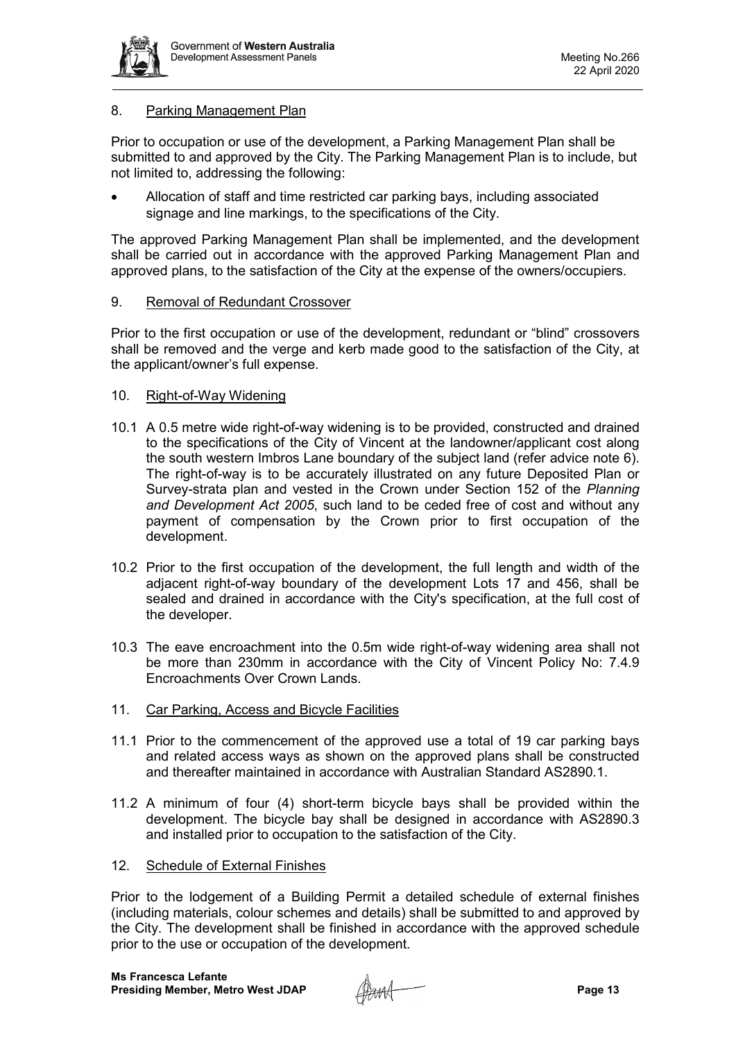

# 8. Parking Management Plan

Prior to occupation or use of the development, a Parking Management Plan shall be submitted to and approved by the City. The Parking Management Plan is to include, but not limited to, addressing the following:

• Allocation of staff and time restricted car parking bays, including associated signage and line markings, to the specifications of the City.

The approved Parking Management Plan shall be implemented, and the development shall be carried out in accordance with the approved Parking Management Plan and approved plans, to the satisfaction of the City at the expense of the owners/occupiers.

## 9. Removal of Redundant Crossover

Prior to the first occupation or use of the development, redundant or "blind" crossovers shall be removed and the verge and kerb made good to the satisfaction of the City, at the applicant/owner's full expense.

## 10. Right-of-Way Widening

- 10.1 A 0.5 metre wide right-of-way widening is to be provided, constructed and drained to the specifications of the City of Vincent at the landowner/applicant cost along the south western Imbros Lane boundary of the subject land (refer advice note 6). The right-of-way is to be accurately illustrated on any future Deposited Plan or Survey-strata plan and vested in the Crown under Section 152 of the *Planning and Development Act 2005*, such land to be ceded free of cost and without any payment of compensation by the Crown prior to first occupation of the development.
- 10.2 Prior to the first occupation of the development, the full length and width of the adjacent right-of-way boundary of the development Lots 17 and 456, shall be sealed and drained in accordance with the City's specification, at the full cost of the developer.
- 10.3 The eave encroachment into the 0.5m wide right-of-way widening area shall not be more than 230mm in accordance with the City of Vincent Policy No: 7.4.9 Encroachments Over Crown Lands.
- 11. Car Parking, Access and Bicycle Facilities
- 11.1 Prior to the commencement of the approved use a total of 19 car parking bays and related access ways as shown on the approved plans shall be constructed and thereafter maintained in accordance with Australian Standard AS2890.1.
- 11.2 A minimum of four (4) short-term bicycle bays shall be provided within the development. The bicycle bay shall be designed in accordance with AS2890.3 and installed prior to occupation to the satisfaction of the City.

## 12. Schedule of External Finishes

Prior to the lodgement of a Building Permit a detailed schedule of external finishes (including materials, colour schemes and details) shall be submitted to and approved by the City. The development shall be finished in accordance with the approved schedule prior to the use or occupation of the development.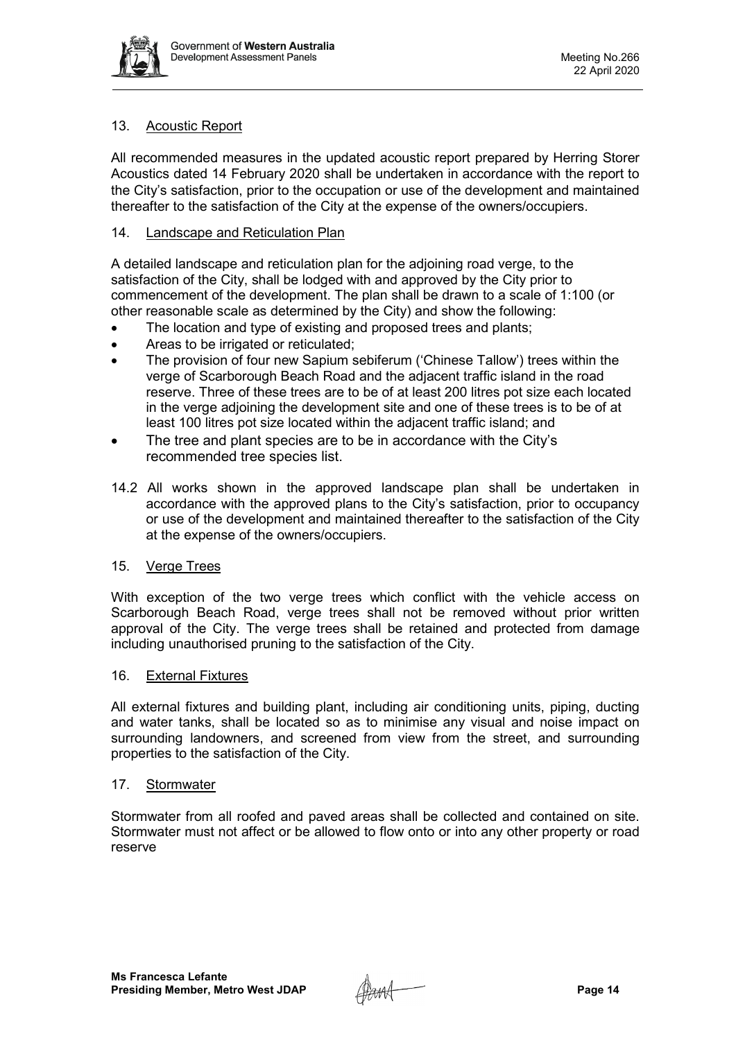

# 13. Acoustic Report

All recommended measures in the updated acoustic report prepared by Herring Storer Acoustics dated 14 February 2020 shall be undertaken in accordance with the report to the City's satisfaction, prior to the occupation or use of the development and maintained thereafter to the satisfaction of the City at the expense of the owners/occupiers.

# 14. Landscape and Reticulation Plan

A detailed landscape and reticulation plan for the adjoining road verge, to the satisfaction of the City, shall be lodged with and approved by the City prior to commencement of the development. The plan shall be drawn to a scale of 1:100 (or other reasonable scale as determined by the City) and show the following:

- The location and type of existing and proposed trees and plants;
- Areas to be irrigated or reticulated;
- The provision of four new Sapium sebiferum ('Chinese Tallow') trees within the verge of Scarborough Beach Road and the adjacent traffic island in the road reserve. Three of these trees are to be of at least 200 litres pot size each located in the verge adjoining the development site and one of these trees is to be of at least 100 litres pot size located within the adjacent traffic island; and
- The tree and plant species are to be in accordance with the City's recommended tree species list.
- 14.2 All works shown in the approved landscape plan shall be undertaken in accordance with the approved plans to the City's satisfaction, prior to occupancy or use of the development and maintained thereafter to the satisfaction of the City at the expense of the owners/occupiers.

# 15. Verge Trees

With exception of the two verge trees which conflict with the vehicle access on Scarborough Beach Road, verge trees shall not be removed without prior written approval of the City. The verge trees shall be retained and protected from damage including unauthorised pruning to the satisfaction of the City.

# 16. External Fixtures

All external fixtures and building plant, including air conditioning units, piping, ducting and water tanks, shall be located so as to minimise any visual and noise impact on surrounding landowners, and screened from view from the street, and surrounding properties to the satisfaction of the City.

## 17. Stormwater

Stormwater from all roofed and paved areas shall be collected and contained on site. Stormwater must not affect or be allowed to flow onto or into any other property or road reserve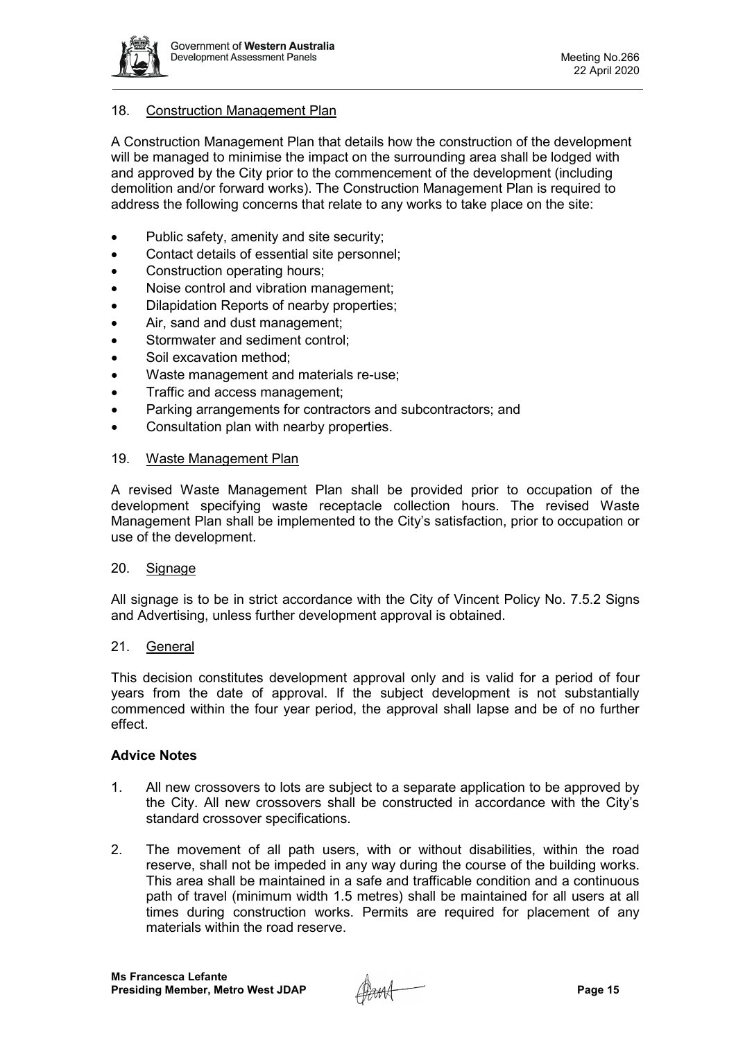

# 18. Construction Management Plan

A Construction Management Plan that details how the construction of the development will be managed to minimise the impact on the surrounding area shall be lodged with and approved by the City prior to the commencement of the development (including demolition and/or forward works). The Construction Management Plan is required to address the following concerns that relate to any works to take place on the site:

- Public safety, amenity and site security;
- Contact details of essential site personnel;
- Construction operating hours;
- Noise control and vibration management;
- Dilapidation Reports of nearby properties;
- Air, sand and dust management;
- Stormwater and sediment control;
- Soil excavation method;
- Waste management and materials re-use;
- Traffic and access management;
- Parking arrangements for contractors and subcontractors; and
- Consultation plan with nearby properties.

## 19. Waste Management Plan

A revised Waste Management Plan shall be provided prior to occupation of the development specifying waste receptacle collection hours. The revised Waste Management Plan shall be implemented to the City's satisfaction, prior to occupation or use of the development.

## 20. Signage

All signage is to be in strict accordance with the City of Vincent Policy No. 7.5.2 Signs and Advertising, unless further development approval is obtained.

# 21. General

This decision constitutes development approval only and is valid for a period of four years from the date of approval. If the subject development is not substantially commenced within the four year period, the approval shall lapse and be of no further effect.

# **Advice Notes**

- 1. All new crossovers to lots are subject to a separate application to be approved by the City. All new crossovers shall be constructed in accordance with the City's standard crossover specifications.
- 2. The movement of all path users, with or without disabilities, within the road reserve, shall not be impeded in any way during the course of the building works. This area shall be maintained in a safe and trafficable condition and a continuous path of travel (minimum width 1.5 metres) shall be maintained for all users at all times during construction works. Permits are required for placement of any materials within the road reserve.

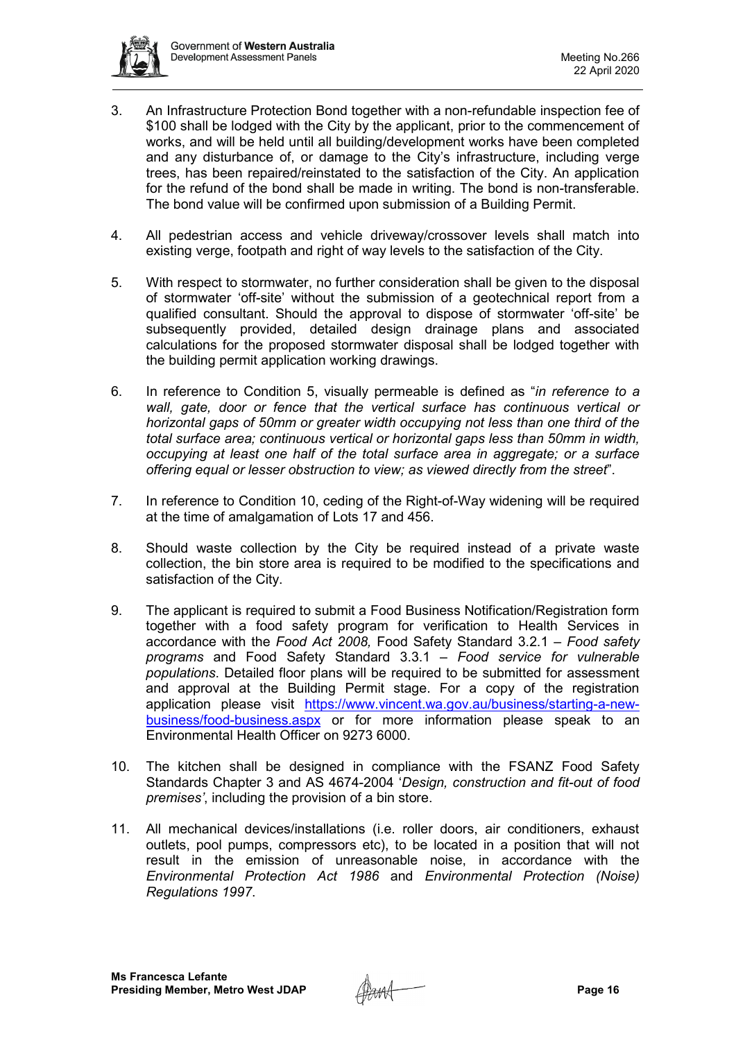

- 3. An Infrastructure Protection Bond together with a non-refundable inspection fee of \$100 shall be lodged with the City by the applicant, prior to the commencement of works, and will be held until all building/development works have been completed and any disturbance of, or damage to the City's infrastructure, including verge trees, has been repaired/reinstated to the satisfaction of the City. An application for the refund of the bond shall be made in writing. The bond is non-transferable. The bond value will be confirmed upon submission of a Building Permit.
- 4. All pedestrian access and vehicle driveway/crossover levels shall match into existing verge, footpath and right of way levels to the satisfaction of the City.
- 5. With respect to stormwater, no further consideration shall be given to the disposal of stormwater 'off-site' without the submission of a geotechnical report from a qualified consultant. Should the approval to dispose of stormwater 'off-site' be subsequently provided, detailed design drainage plans and associated calculations for the proposed stormwater disposal shall be lodged together with the building permit application working drawings.
- 6. In reference to Condition 5, visually permeable is defined as "*in reference to a*  wall, gate, door or fence that the vertical surface has continuous vertical or *horizontal gaps of 50mm or greater width occupying not less than one third of the total surface area; continuous vertical or horizontal gaps less than 50mm in width, occupying at least one half of the total surface area in aggregate; or a surface offering equal or lesser obstruction to view; as viewed directly from the street*".
- 7. In reference to Condition 10, ceding of the Right-of-Way widening will be required at the time of amalgamation of Lots 17 and 456.
- 8. Should waste collection by the City be required instead of a private waste collection, the bin store area is required to be modified to the specifications and satisfaction of the City.
- 9. The applicant is required to submit a Food Business Notification/Registration form together with a food safety program for verification to Health Services in accordance with the *Food Act 2008,* Food Safety Standard 3.2.1 – *Food safety programs* and Food Safety Standard 3.3.1 – *Food service for vulnerable populations*. Detailed floor plans will be required to be submitted for assessment and approval at the Building Permit stage. For a copy of the registration application please visit [https://www.vincent.wa.gov.au/business/starting-a-new](https://www.vincent.wa.gov.au/business/starting-a-new-business/food-business.aspx)[business/food-business.aspx](https://www.vincent.wa.gov.au/business/starting-a-new-business/food-business.aspx) or for more information please speak to an Environmental Health Officer on 9273 6000.
- 10. The kitchen shall be designed in compliance with the FSANZ Food Safety Standards Chapter 3 and AS 4674-2004 '*Design, construction and fit-out of food premises'*, including the provision of a bin store.
- 11. All mechanical devices/installations (i.e. roller doors, air conditioners, exhaust outlets, pool pumps, compressors etc), to be located in a position that will not result in the emission of unreasonable noise, in accordance with the *Environmental Protection Act 1986* and *Environmental Protection (Noise) Regulations 1997*.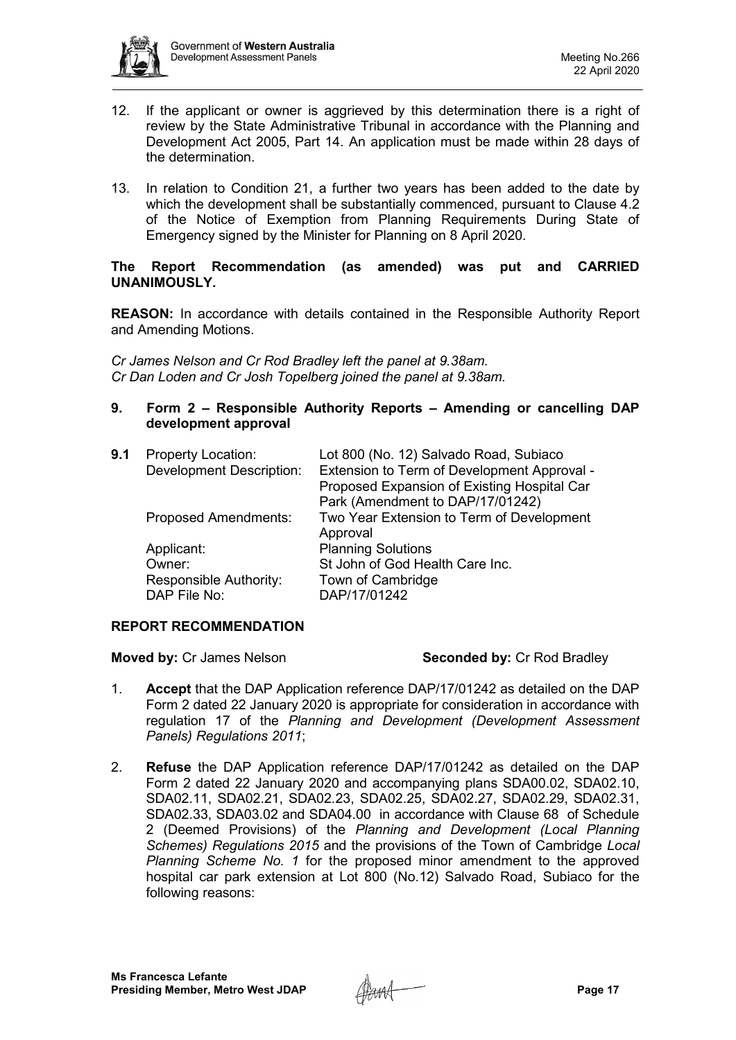

- 12. If the applicant or owner is aggrieved by this determination there is a right of review by the State Administrative Tribunal in accordance with the Planning and Development Act 2005, Part 14. An application must be made within 28 days of the determination.
- 13. In relation to Condition 21, a further two years has been added to the date by which the development shall be substantially commenced, pursuant to Clause 4.2 of the Notice of Exemption from Planning Requirements During State of Emergency signed by the Minister for Planning on 8 April 2020.

## **The Report Recommendation (as amended) was put and CARRIED UNANIMOUSLY.**

**REASON:** In accordance with details contained in the Responsible Authority Report and Amending Motions.

*Cr James Nelson and Cr Rod Bradley left the panel at 9.38am. Cr Dan Loden and Cr Josh Topelberg joined the panel at 9.38am.*

# **9. Form 2 – Responsible Authority Reports – Amending or cancelling DAP development approval**

| 9.1 | <b>Property Location:</b>       | Lot 800 (No. 12) Salvado Road, Subiaco      |
|-----|---------------------------------|---------------------------------------------|
|     | <b>Development Description:</b> | Extension to Term of Development Approval - |
|     |                                 | Proposed Expansion of Existing Hospital Car |
|     |                                 | Park (Amendment to DAP/17/01242)            |
|     | <b>Proposed Amendments:</b>     | Two Year Extension to Term of Development   |
|     |                                 | Approval                                    |
|     | Applicant:                      | <b>Planning Solutions</b>                   |
|     | Owner:                          | St John of God Health Care Inc.             |
|     | Responsible Authority:          | Town of Cambridge                           |
|     | DAP File No:                    | DAP/17/01242                                |
|     |                                 |                                             |

# **REPORT RECOMMENDATION**

# **Moved by:** Cr James Nelson **Seconded by:** Cr Rod Bradley

- 1. **Accept** that the DAP Application reference DAP/17/01242 as detailed on the DAP Form 2 dated 22 January 2020 is appropriate for consideration in accordance with regulation 17 of the *Planning and Development (Development Assessment Panels) Regulations 2011*;
- 2. **Refuse** the DAP Application reference DAP/17/01242 as detailed on the DAP Form 2 dated 22 January 2020 and accompanying plans SDA00.02, SDA02.10, SDA02.11, SDA02.21, SDA02.23, SDA02.25, SDA02.27, SDA02.29, SDA02.31, SDA02.33, SDA03.02 and SDA04.00 in accordance with Clause 68 of Schedule 2 (Deemed Provisions) of the *Planning and Development (Local Planning Schemes) Regulations 2015* and the provisions of the Town of Cambridge *Local Planning Scheme No. 1* for the proposed minor amendment to the approved hospital car park extension at Lot 800 (No.12) Salvado Road, Subiaco for the following reasons: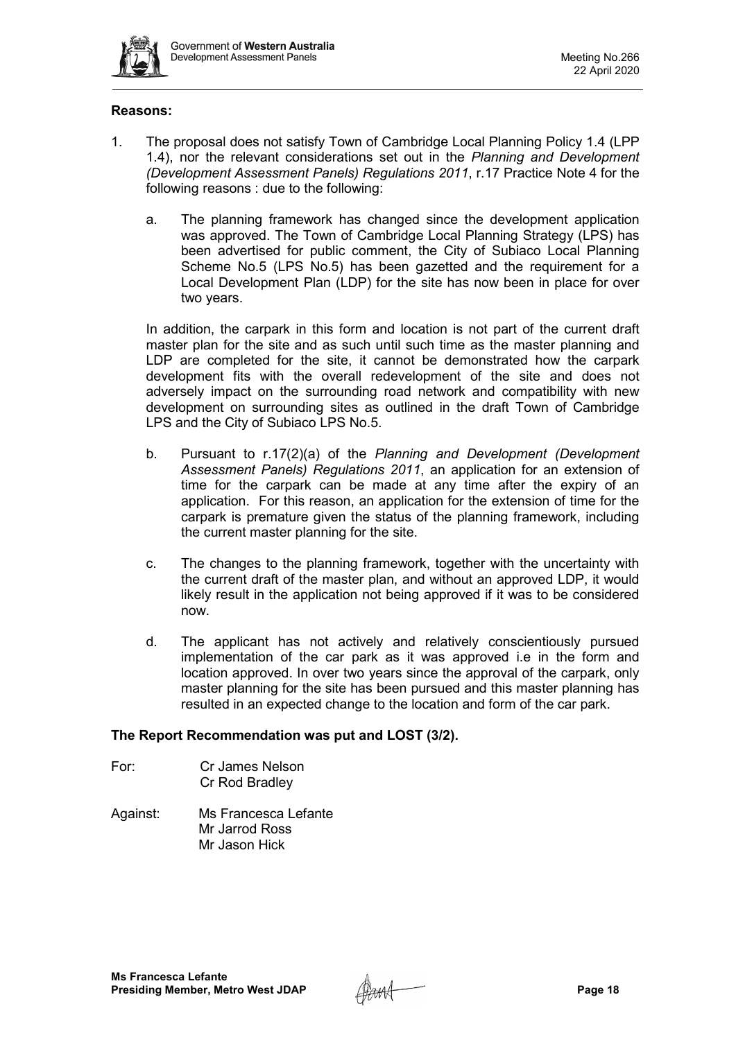

# **Reasons:**

- 1. The proposal does not satisfy Town of Cambridge Local Planning Policy 1.4 (LPP 1.4), nor the relevant considerations set out in the *Planning and Development (Development Assessment Panels) Regulations 2011*, r.17 Practice Note 4 for the following reasons : due to the following:
	- a. The planning framework has changed since the development application was approved. The Town of Cambridge Local Planning Strategy (LPS) has been advertised for public comment, the City of Subiaco Local Planning Scheme No.5 (LPS No.5) has been gazetted and the requirement for a Local Development Plan (LDP) for the site has now been in place for over two years.

In addition, the carpark in this form and location is not part of the current draft master plan for the site and as such until such time as the master planning and LDP are completed for the site, it cannot be demonstrated how the carpark development fits with the overall redevelopment of the site and does not adversely impact on the surrounding road network and compatibility with new development on surrounding sites as outlined in the draft Town of Cambridge LPS and the City of Subiaco LPS No.5.

- b. Pursuant to r.17(2)(a) of the *Planning and Development (Development Assessment Panels) Regulations 2011*, an application for an extension of time for the carpark can be made at any time after the expiry of an application. For this reason, an application for the extension of time for the carpark is premature given the status of the planning framework, including the current master planning for the site.
- c. The changes to the planning framework, together with the uncertainty with the current draft of the master plan, and without an approved LDP, it would likely result in the application not being approved if it was to be considered now.
- d. The applicant has not actively and relatively conscientiously pursued implementation of the car park as it was approved i.e in the form and location approved. In over two years since the approval of the carpark, only master planning for the site has been pursued and this master planning has resulted in an expected change to the location and form of the car park.

# **The Report Recommendation was put and LOST (3/2).**

- For: Cr James Nelson Cr Rod Bradley
- Against: Ms Francesca Lefante Mr Jarrod Ross Mr Jason Hick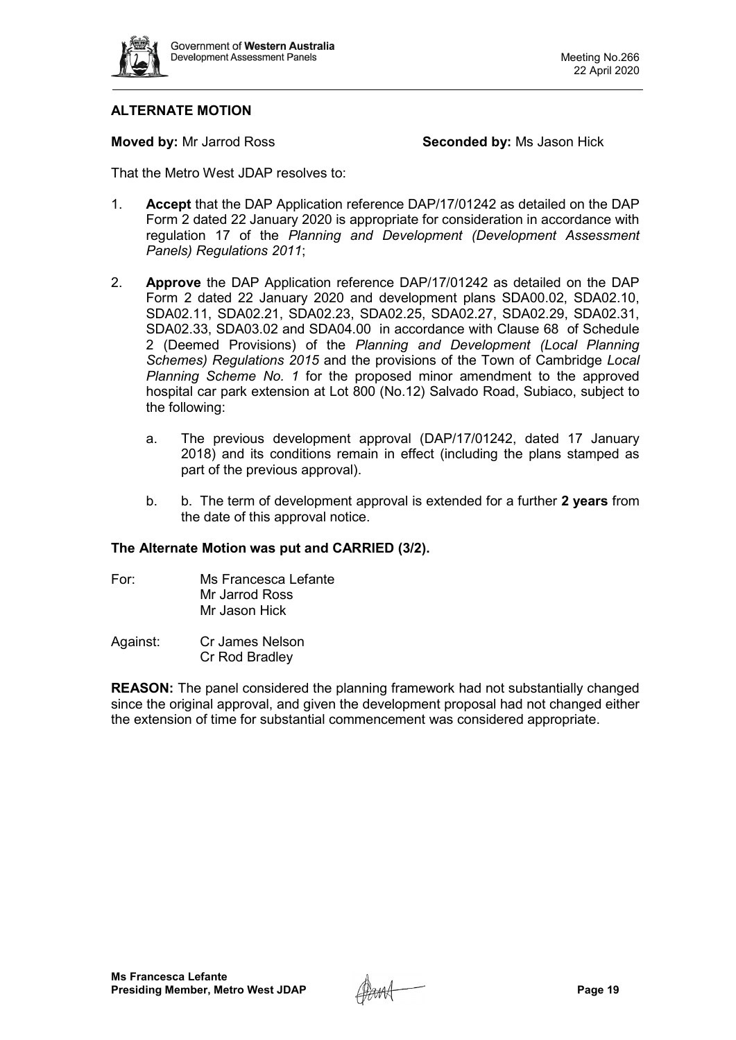

# **ALTERNATE MOTION**

**Moved by:** Mr Jarrod Ross **Seconded by:** Ms Jason Hick

That the Metro West JDAP resolves to:

- 1. **Accept** that the DAP Application reference DAP/17/01242 as detailed on the DAP Form 2 dated 22 January 2020 is appropriate for consideration in accordance with regulation 17 of the *Planning and Development (Development Assessment Panels) Regulations 2011*;
- 2. **Approve** the DAP Application reference DAP/17/01242 as detailed on the DAP Form 2 dated 22 January 2020 and development plans SDA00.02, SDA02.10, SDA02.11, SDA02.21, SDA02.23, SDA02.25, SDA02.27, SDA02.29, SDA02.31, SDA02.33, SDA03.02 and SDA04.00 in accordance with Clause 68 of Schedule 2 (Deemed Provisions) of the *Planning and Development (Local Planning Schemes) Regulations 2015* and the provisions of the Town of Cambridge *Local Planning Scheme No. 1* for the proposed minor amendment to the approved hospital car park extension at Lot 800 (No.12) Salvado Road, Subiaco, subject to the following:
	- a. The previous development approval (DAP/17/01242, dated 17 January 2018) and its conditions remain in effect (including the plans stamped as part of the previous approval).
	- b. b. The term of development approval is extended for a further **2 years** from the date of this approval notice.

# **The Alternate Motion was put and CARRIED (3/2).**

- For: Ms Francesca Lefante Mr Jarrod Ross Mr Jason Hick
- Against: Cr James Nelson Cr Rod Bradley

**REASON:** The panel considered the planning framework had not substantially changed since the original approval, and given the development proposal had not changed either the extension of time for substantial commencement was considered appropriate.